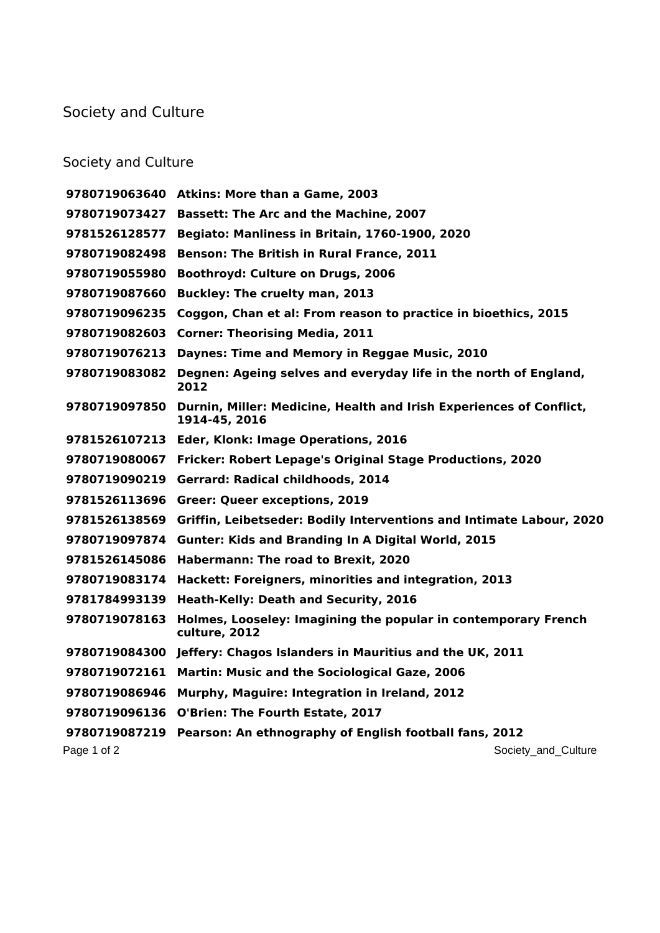## Society and Culture

## Society and Culture

|               | 9780719063640 Atkins: More than a Game, 2003                                         |
|---------------|--------------------------------------------------------------------------------------|
| 9780719073427 | <b>Bassett: The Arc and the Machine, 2007</b>                                        |
| 9781526128577 | Begiato: Manliness in Britain, 1760-1900, 2020                                       |
| 9780719082498 | <b>Benson: The British in Rural France, 2011</b>                                     |
| 9780719055980 | <b>Boothroyd: Culture on Drugs, 2006</b>                                             |
| 9780719087660 | <b>Buckley: The cruelty man, 2013</b>                                                |
| 9780719096235 | Coggon, Chan et al: From reason to practice in bioethics, 2015                       |
| 9780719082603 | <b>Corner: Theorising Media, 2011</b>                                                |
| 9780719076213 | Daynes: Time and Memory in Reggae Music, 2010                                        |
| 9780719083082 | Degnen: Ageing selves and everyday life in the north of England,<br>2012             |
| 9780719097850 | Durnin, Miller: Medicine, Health and Irish Experiences of Conflict,<br>1914-45, 2016 |
|               | 9781526107213 Eder, Klonk: Image Operations, 2016                                    |
| 9780719080067 | Fricker: Robert Lepage's Original Stage Productions, 2020                            |
|               | 9780719090219 Gerrard: Radical childhoods, 2014                                      |
| 9781526113696 | <b>Greer: Queer exceptions, 2019</b>                                                 |
| 9781526138569 | Griffin, Leibetseder: Bodily Interventions and Intimate Labour, 2020                 |
| 9780719097874 | <b>Gunter: Kids and Branding In A Digital World, 2015</b>                            |
| 9781526145086 | Habermann: The road to Brexit, 2020                                                  |
| 9780719083174 | Hackett: Foreigners, minorities and integration, 2013                                |
| 9781784993139 | Heath-Kelly: Death and Security, 2016                                                |
| 9780719078163 | Holmes, Looseley: Imagining the popular in contemporary French<br>culture, 2012      |
|               | 9780719084300 Jeffery: Chagos Islanders in Mauritius and the UK, 2011                |
| 9780719072161 | <b>Martin: Music and the Sociological Gaze, 2006</b>                                 |
| 9780719086946 | Murphy, Maguire: Integration in Ireland, 2012                                        |
|               | 9780719096136 O'Brien: The Fourth Estate, 2017                                       |
| 9780719087219 | Pearson: An ethnography of English football fans, 2012                               |
| Page 1 of 2   | Society_and_Culture                                                                  |